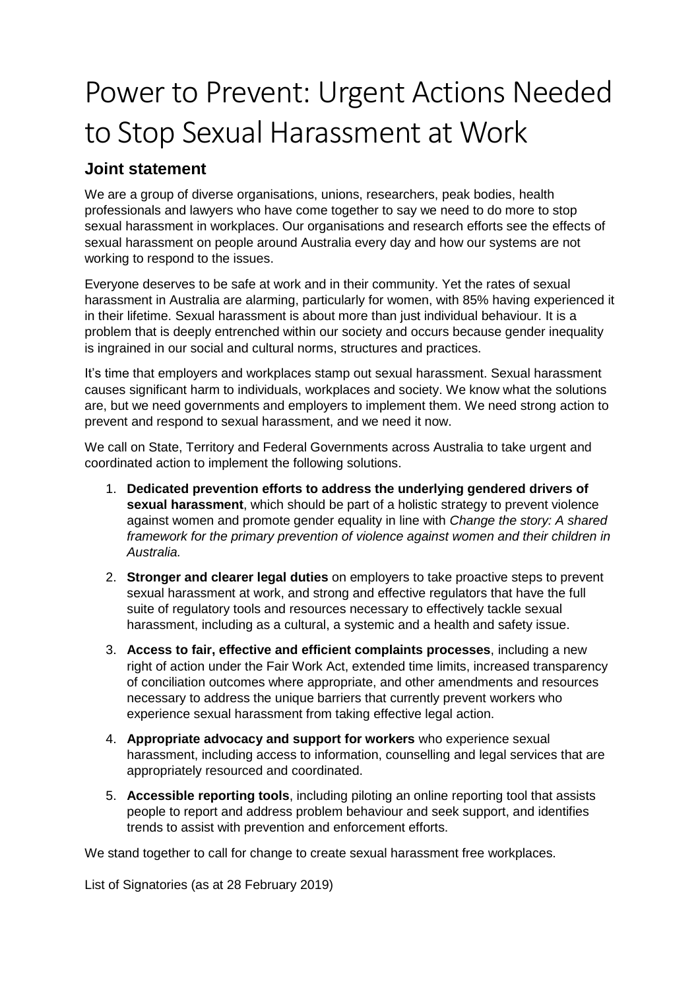## Power to Prevent: Urgent Actions Needed to Stop Sexual Harassment at Work

## **Joint statement**

We are a group of diverse organisations, unions, researchers, peak bodies, health professionals and lawyers who have come together to say we need to do more to stop sexual harassment in workplaces. Our organisations and research efforts see the effects of sexual harassment on people around Australia every day and how our systems are not working to respond to the issues.

Everyone deserves to be safe at work and in their community. Yet the rates of sexual harassment in Australia are alarming, particularly for women, with 85% having experienced it in their lifetime. Sexual harassment is about more than just individual behaviour. It is a problem that is deeply entrenched within our society and occurs because gender inequality is ingrained in our social and cultural norms, structures and practices.

It's time that employers and workplaces stamp out sexual harassment. Sexual harassment causes significant harm to individuals, workplaces and society. We know what the solutions are, but we need governments and employers to implement them. We need strong action to prevent and respond to sexual harassment, and we need it now.

We call on State, Territory and Federal Governments across Australia to take urgent and coordinated action to implement the following solutions.

- 1. **Dedicated prevention efforts to address the underlying gendered drivers of sexual harassment**, which should be part of a holistic strategy to prevent violence against women and promote gender equality in line with *Change the story: A shared framework for the primary prevention of violence against women and their children in Australia.*
- 2. **Stronger and clearer legal duties** on employers to take proactive steps to prevent sexual harassment at work, and strong and effective regulators that have the full suite of regulatory tools and resources necessary to effectively tackle sexual harassment, including as a cultural, a systemic and a health and safety issue.
- 3. **Access to fair, effective and efficient complaints processes**, including a new right of action under the Fair Work Act, extended time limits, increased transparency of conciliation outcomes where appropriate, and other amendments and resources necessary to address the unique barriers that currently prevent workers who experience sexual harassment from taking effective legal action.
- 4. **Appropriate advocacy and support for workers** who experience sexual harassment, including access to information, counselling and legal services that are appropriately resourced and coordinated.
- 5. **Accessible reporting tools**, including piloting an online reporting tool that assists people to report and address problem behaviour and seek support, and identifies trends to assist with prevention and enforcement efforts.

We stand together to call for change to create sexual harassment free workplaces.

List of Signatories (as at 28 February 2019)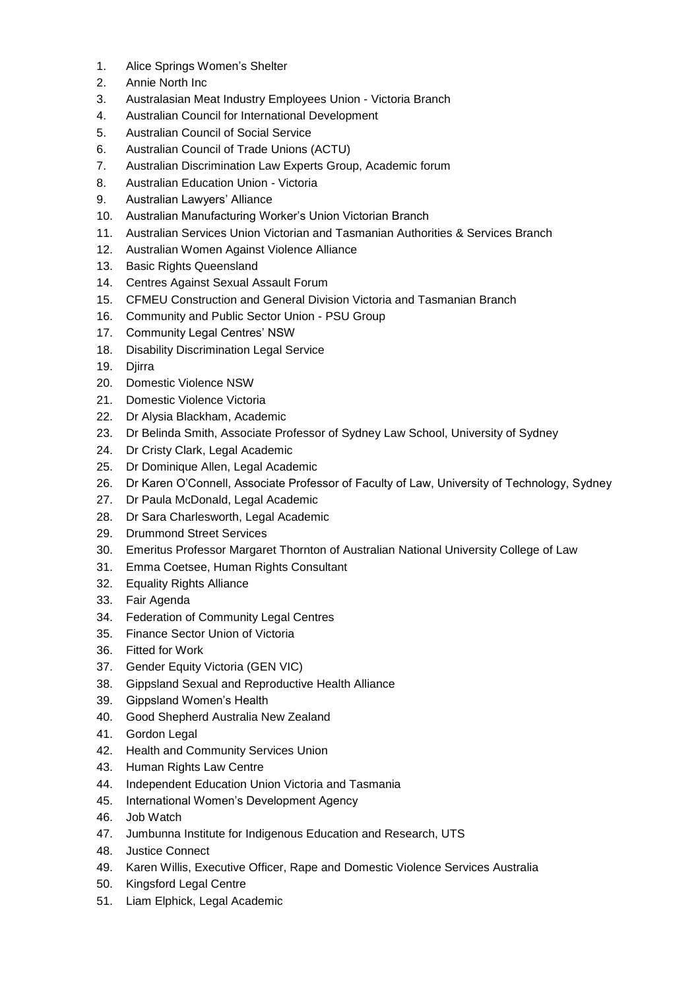- 1. Alice Springs Women's Shelter
- 2. Annie North Inc
- 3. Australasian Meat Industry Employees Union Victoria Branch
- 4. Australian Council for International Development
- 5. Australian Council of Social Service
- 6. Australian Council of Trade Unions (ACTU)
- 7. Australian Discrimination Law Experts Group, Academic forum
- 8. Australian Education Union Victoria
- 9. Australian Lawyers' Alliance
- 10. Australian Manufacturing Worker's Union Victorian Branch
- 11. Australian Services Union Victorian and Tasmanian Authorities & Services Branch
- 12. Australian Women Against Violence Alliance
- 13. Basic Rights Queensland
- 14. Centres Against Sexual Assault Forum
- 15. CFMEU Construction and General Division Victoria and Tasmanian Branch
- 16. Community and Public Sector Union PSU Group
- 17. Community Legal Centres' NSW
- 18. Disability Discrimination Legal Service
- 19. Diirra
- 20. Domestic Violence NSW
- 21. Domestic Violence Victoria
- 22. Dr Alysia Blackham, Academic
- 23. Dr Belinda Smith, Associate Professor of Sydney Law School, University of Sydney
- 24. Dr Cristy Clark, Legal Academic
- 25. Dr Dominique Allen, Legal Academic
- 26. Dr Karen O'Connell, Associate Professor of Faculty of Law, University of Technology, Sydney
- 27. Dr Paula McDonald, Legal Academic
- 28. Dr Sara Charlesworth, Legal Academic
- 29. Drummond Street Services
- 30. Emeritus Professor Margaret Thornton of Australian National University College of Law
- 31. Emma Coetsee, Human Rights Consultant
- 32. Equality Rights Alliance
- 33. Fair Agenda
- 34. Federation of Community Legal Centres
- 35. Finance Sector Union of Victoria
- 36. Fitted for Work
- 37. Gender Equity Victoria (GEN VIC)
- 38. Gippsland Sexual and Reproductive Health Alliance
- 39. Gippsland Women's Health
- 40. Good Shepherd Australia New Zealand
- 41. Gordon Legal
- 42. Health and Community Services Union
- 43. Human Rights Law Centre
- 44. Independent Education Union Victoria and Tasmania
- 45. International Women's Development Agency
- 46. Job Watch
- 47. Jumbunna Institute for Indigenous Education and Research, UTS
- 48. Justice Connect
- 49. Karen Willis, Executive Officer, Rape and Domestic Violence Services Australia
- 50. Kingsford Legal Centre
- 51. Liam Elphick, Legal Academic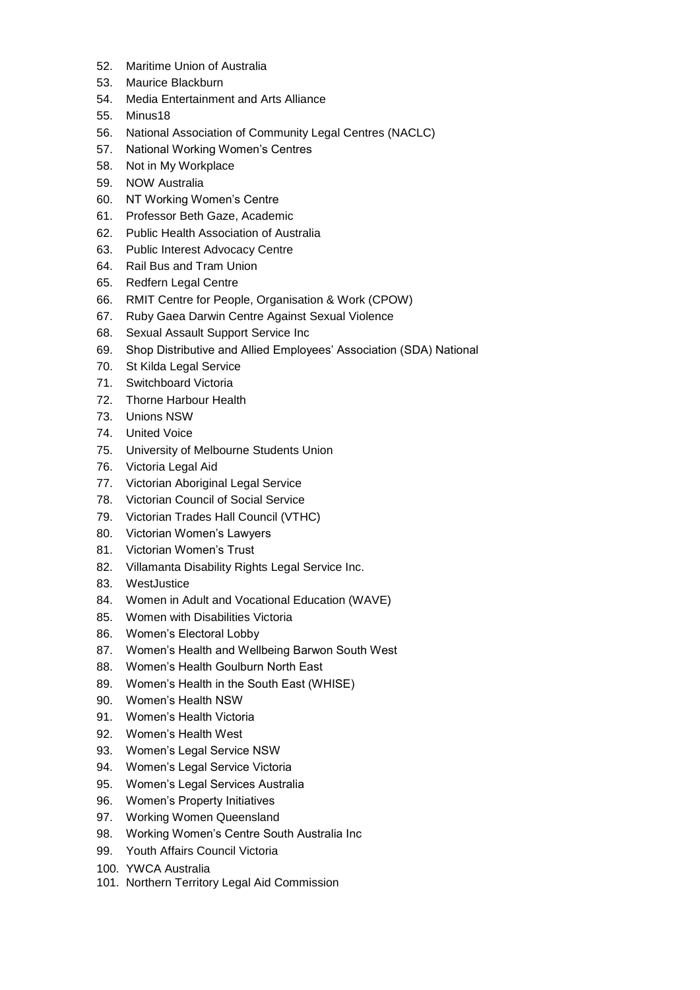- 52. Maritime Union of Australia
- 53. Maurice Blackburn
- 54. Media Entertainment and Arts Alliance
- 55. Minus18
- 56. National Association of Community Legal Centres (NACLC)
- 57. National Working Women's Centres
- 58. Not in My Workplace
- 59. NOW Australia
- 60. NT Working Women's Centre
- 61. Professor Beth Gaze, Academic
- 62. Public Health Association of Australia
- 63. Public Interest Advocacy Centre
- 64. Rail Bus and Tram Union
- 65. Redfern Legal Centre
- 66. RMIT Centre for People, Organisation & Work (CPOW)
- 67. Ruby Gaea Darwin Centre Against Sexual Violence
- 68. Sexual Assault Support Service Inc
- 69. Shop Distributive and Allied Employees' Association (SDA) National
- 70. St Kilda Legal Service
- 71. Switchboard Victoria
- 72. Thorne Harbour Health
- 73. Unions NSW
- 74. United Voice
- 75. University of Melbourne Students Union
- 76. Victoria Legal Aid
- 77. Victorian Aboriginal Legal Service
- 78. Victorian Council of Social Service
- 79. Victorian Trades Hall Council (VTHC)
- 80. Victorian Women's Lawyers
- 81. Victorian Women's Trust
- 82. Villamanta Disability Rights Legal Service Inc.
- 83. WestJustice
- 84. Women in Adult and Vocational Education (WAVE)
- 85. Women with Disabilities Victoria
- 86. Women's Electoral Lobby
- 87. Women's Health and Wellbeing Barwon South West
- 88. Women's Health Goulburn North East
- 89. Women's Health in the South East (WHISE)
- 90. Women's Health NSW
- 91. Women's Health Victoria
- 92. Women's Health West
- 93. Women's Legal Service NSW
- 94. Women's Legal Service Victoria
- 95. Women's Legal Services Australia
- 96. Women's Property Initiatives
- 97. Working Women Queensland
- 98. Working Women's Centre South Australia Inc
- 99. Youth Affairs Council Victoria
- 100. YWCA Australia
- 101. Northern Territory Legal Aid Commission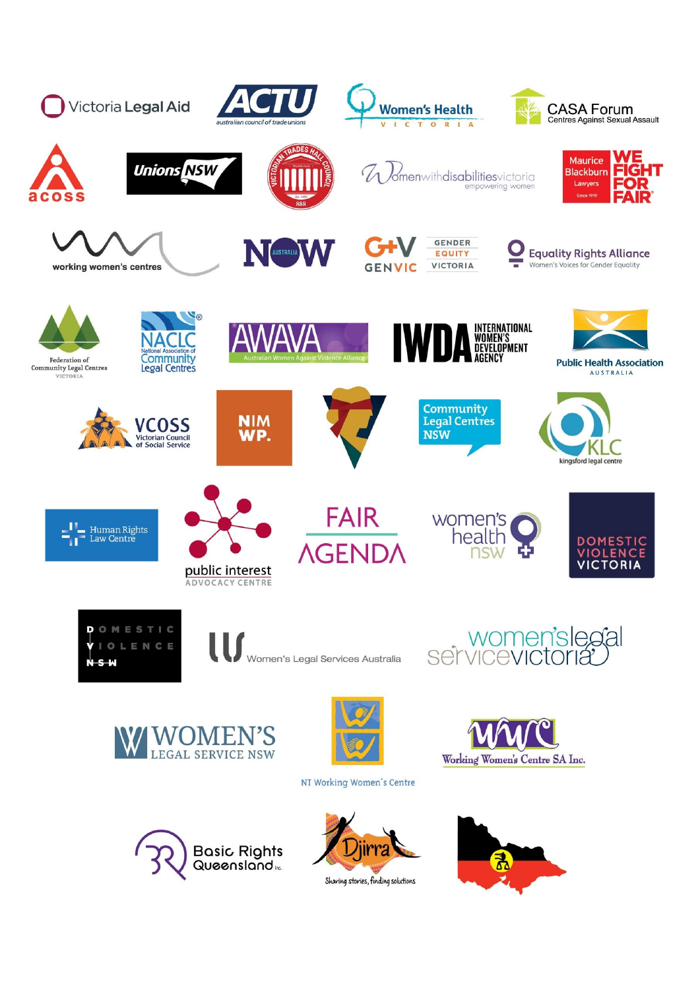